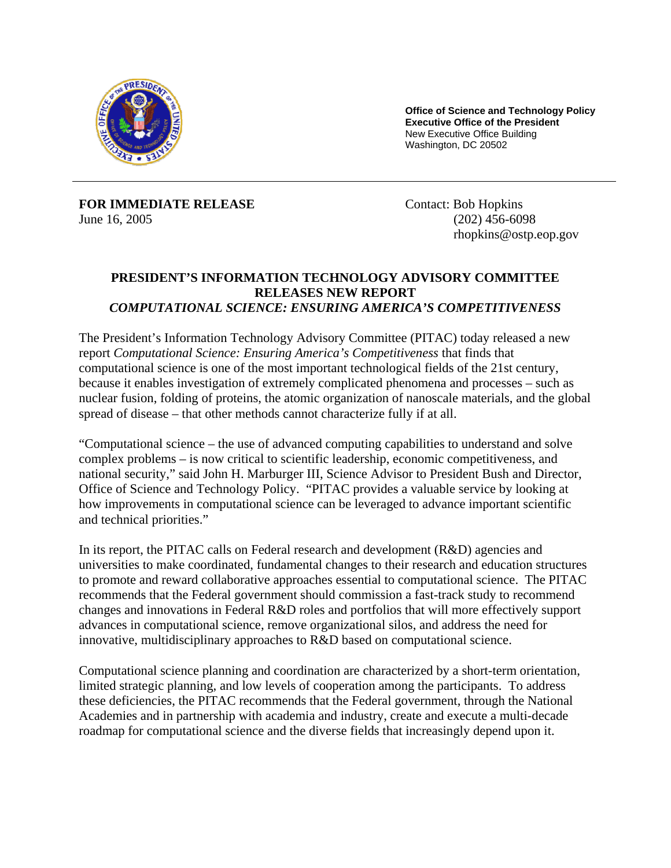

**Office of Science and Technology Policy Executive Office of the President**  New Executive Office Building Washington, DC 20502

**FOR IMMEDIATE RELEASE**  June 16, 2005

Contact: Bob Hopkins (202) 456-6098 rhopkins@ostp.eop.gov

## **PRESIDENT'S INFORMATION TECHNOLOGY ADVISORY COMMITTEE RELEASES NEW REPORT**  *COMPUTATIONAL SCIENCE: ENSURING AMERICA'S COMPETITIVENESS*

The President's Information Technology Advisory Committee (PITAC) today released a new report *Computational Science: Ensuring America's Competitiveness* that finds that computational science is one of the most important technological fields of the 21st century, because it enables investigation of extremely complicated phenomena and processes – such as nuclear fusion, folding of proteins, the atomic organization of nanoscale materials, and the global spread of disease – that other methods cannot characterize fully if at all.

"Computational science – the use of advanced computing capabilities to understand and solve complex problems – is now critical to scientific leadership, economic competitiveness, and national security," said John H. Marburger III, Science Advisor to President Bush and Director, Office of Science and Technology Policy. "PITAC provides a valuable service by looking at how improvements in computational science can be leveraged to advance important scientific and technical priorities."

In its report, the PITAC calls on Federal research and development (R&D) agencies and universities to make coordinated, fundamental changes to their research and education structures to promote and reward collaborative approaches essential to computational science. The PITAC recommends that the Federal government should commission a fast-track study to recommend changes and innovations in Federal R&D roles and portfolios that will more effectively support advances in computational science, remove organizational silos, and address the need for innovative, multidisciplinary approaches to R&D based on computational science.

Computational science planning and coordination are characterized by a short-term orientation, limited strategic planning, and low levels of cooperation among the participants. To address these deficiencies, the PITAC recommends that the Federal government, through the National Academies and in partnership with academia and industry, create and execute a multi-decade roadmap for computational science and the diverse fields that increasingly depend upon it.